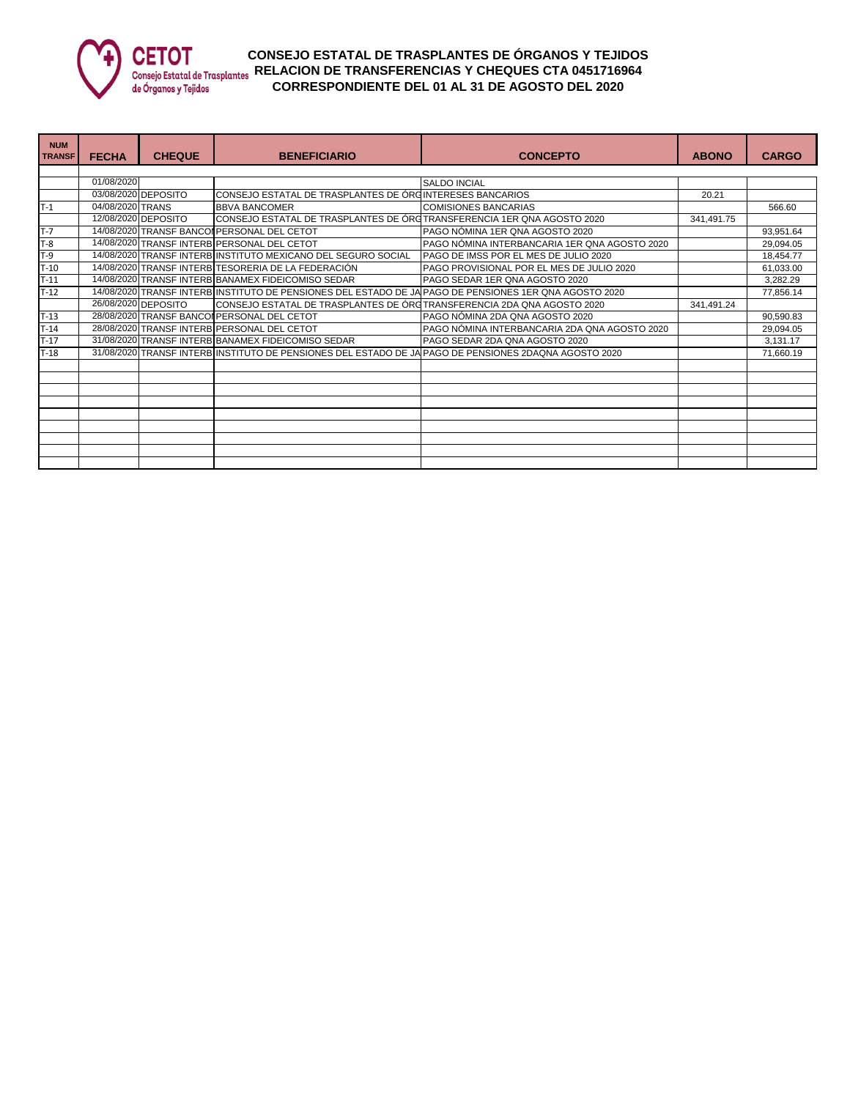

## **CONSEJO ESTATAL DE TRASPLANTES DE ÓRGANOS Y TEJIDOS RELACION DE TRANSFERENCIAS Y CHEQUES CTA 0451716964 CORRESPONDIENTE DEL 01 AL 31 DE AGOSTO DEL 2020**

| <b>NUM</b><br><b>TRANSF</b> | <b>FECHA</b>     | <b>CHEQUE</b>       | <b>BENEFICIARIO</b>                                                                                   | <b>CONCEPTO</b>                                                                                        | <b>ABONO</b> | <b>CARGO</b> |
|-----------------------------|------------------|---------------------|-------------------------------------------------------------------------------------------------------|--------------------------------------------------------------------------------------------------------|--------------|--------------|
|                             |                  |                     |                                                                                                       |                                                                                                        |              |              |
|                             | 01/08/2020       |                     |                                                                                                       | <b>SALDO INCIAL</b>                                                                                    |              |              |
|                             |                  | 03/08/2020 DEPOSITO | CONSEJO ESTATAL DE TRASPLANTES DE ÓRGINTERESES BANCARIOS                                              |                                                                                                        | 20.21        |              |
| T-1                         | 04/08/2020 TRANS |                     | <b>BBVA BANCOMER</b>                                                                                  | <b>COMISIONES BANCARIAS</b>                                                                            |              | 566.60       |
|                             |                  | 12/08/2020 DEPOSITO | ICONSEJO ESTATAL DE TRASPLANTES DE ÓRGTRANSFERENCIA 1ER QNA AGOSTO 2020                               |                                                                                                        | 341,491.75   |              |
| $T-7$                       |                  |                     | 14/08/2020 TRANSF BANCOI PERSONAL DEL CETOT                                                           | PAGO NÓMINA 1ER QNA AGOSTO 2020                                                                        |              | 93,951.64    |
| $T-8$                       |                  |                     | 14/08/2020 TRANSF INTERBIPERSONAL DEL CETOT                                                           | PAGO NÓMINA INTERBANCARIA 1ER QNA AGOSTO 2020                                                          |              | 29,094.05    |
| $T-9$                       |                  |                     | 14/08/2020 TRANSF INTERB INSTITUTO MEXICANO DEL SEGURO SOCIAL                                         | PAGO DE IMSS POR EL MES DE JULIO 2020                                                                  |              | 18,454.77    |
| $T-10$                      |                  |                     | 14/08/2020 TRANSF INTERB TESORERIA DE LA FEDERACIÓN                                                   | PAGO PROVISIONAL POR EL MES DE JULIO 2020                                                              |              | 61,033.00    |
| $T-11$                      |                  |                     | 14/08/2020 TRANSF INTERB BANAMEX FIDEICOMISO SEDAR                                                    | PAGO SEDAR 1ER QNA AGOSTO 2020                                                                         |              | 3,282.29     |
| $T-12$                      |                  |                     |                                                                                                       | 14/08/2020 TRANSF INTERB INSTITUTO DE PENSIONES DEL ESTADO DE JA PAGO DE PENSIONES 1ER QNA AGOSTO 2020 |              | 77,856.14    |
|                             |                  | 26/08/2020 DEPOSITO | CONSEJO ESTATAL DE TRASPLANTES DE ÓRGTRANSFERENCIA 2DA QNA AGOSTO 2020                                |                                                                                                        | 341,491.24   |              |
| $T-13$                      |                  |                     | 28/08/2020 TRANSF BANCOI PERSONAL DEL CETOT                                                           | PAGO NÓMINA 2DA QNA AGOSTO 2020                                                                        |              | 90,590.83    |
| $T-14$                      |                  |                     | 28/08/2020 TRANSF INTERB PERSONAL DEL CETOT                                                           | PAGO NÓMINA INTERBANCARIA 2DA QNA AGOSTO 2020                                                          |              | 29,094.05    |
| $T-17$                      |                  |                     | 31/08/2020 TRANSF INTERB BANAMEX FIDEICOMISO SEDAR                                                    | PAGO SEDAR 2DA QNA AGOSTO 2020                                                                         |              | 3,131.17     |
| $T-18$                      |                  |                     | 31/08/2020 TRANSF INTERB INSTITUTO DE PENSIONES DEL ESTADO DE JA PAGO DE PENSIONES 2DAQNA AGOSTO 2020 |                                                                                                        |              | 71,660.19    |
|                             |                  |                     |                                                                                                       |                                                                                                        |              |              |
|                             |                  |                     |                                                                                                       |                                                                                                        |              |              |
|                             |                  |                     |                                                                                                       |                                                                                                        |              |              |
|                             |                  |                     |                                                                                                       |                                                                                                        |              |              |
|                             |                  |                     |                                                                                                       |                                                                                                        |              |              |
|                             |                  |                     |                                                                                                       |                                                                                                        |              |              |
|                             |                  |                     |                                                                                                       |                                                                                                        |              |              |
|                             |                  |                     |                                                                                                       |                                                                                                        |              |              |
|                             |                  |                     |                                                                                                       |                                                                                                        |              |              |